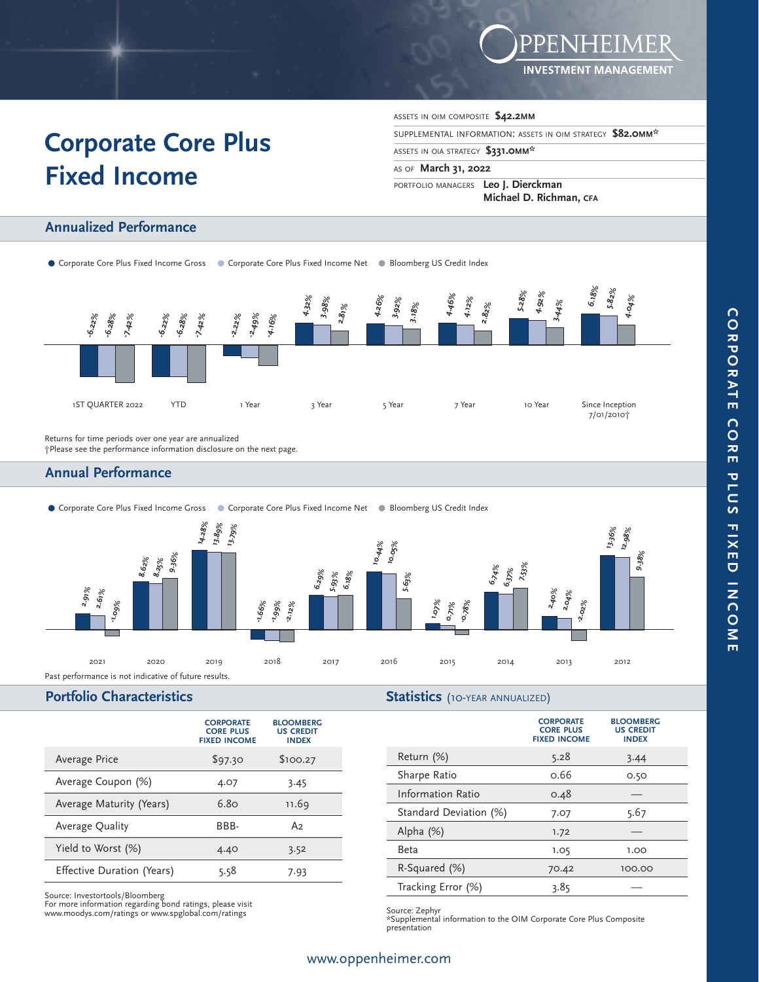

# **Corporate Core Plus Fixed Income**

ASSETS IN OIM COMPOSITE **\$42.2MM**

SUPPLEMENTAL INFORMATION: ASSETS IN OIM STRATEGY **\$82.0MM\*** 

ASSETS IN OIA STRATEGY **\$331.0MM\*** 

AS OF **March 31, 2022** 

PORTFOLIO MANAGERS **Leo J. Dierckman Michael D. Richman, CFA** 

# **Annualized Performance**

● Corporate Core Plus Fixed Income Gross ● Corporate Core Plus Fixed Income Net ● Bloomberg US Credit Index



Returns for time periods over one year are annualized

†Please see the performance information disclosure on the next page.

# **Annual Performance**



### **Portfolio Characteristics**

#### **Statistics** (10-YEAR ANNUALIZED)

|                            | <b>CORPORATE</b><br><b>CORE PLUS</b><br><b>FIXED INCOME</b> | <b>BLOOMBERG</b><br><b>US CREDIT</b><br><b>INDEX</b> |
|----------------------------|-------------------------------------------------------------|------------------------------------------------------|
| Average Price              | \$97.30                                                     | \$100.27                                             |
| Average Coupon (%)         | 4.07                                                        | 3.45                                                 |
| Average Maturity (Years)   | 6.80                                                        | 11.69                                                |
| Average Quality            | BBB-                                                        | A2                                                   |
| Yield to Worst (%)         | 4.40                                                        | 3.52                                                 |
| Effective Duration (Years) | 5.58                                                        | 7.93                                                 |

Source: Investortools/Bloomberg For more information regarding bond ratings, please visit www.moodys.com/ratings or www.spglobal.com/ratings

|                          | <b>CORPORATE</b><br><b>CORE PLUS</b><br><b>FIXED INCOME</b> | <b>BLOOMBERG</b><br><b>US CREDIT</b><br><b>INDEX</b> |
|--------------------------|-------------------------------------------------------------|------------------------------------------------------|
| Return (%)               | 5.28                                                        | 3.44                                                 |
| Sharpe Ratio             | 0.66                                                        | 0.50                                                 |
| <b>Information Ratio</b> | 0.48                                                        |                                                      |
| Standard Deviation (%)   | 7.07                                                        | 5.67                                                 |
| Alpha $(\%)$             | 1.72                                                        |                                                      |
| Beta                     | 1.05                                                        | 1.00                                                 |
| R-Squared (%)            | 70.42                                                       | 100.00                                               |
| Tracking Error (%)       | 3.85                                                        |                                                      |
|                          |                                                             |                                                      |

Source: Zephyr

\*Supplemental information to the OIM Corporate Core Plus Composite presentation